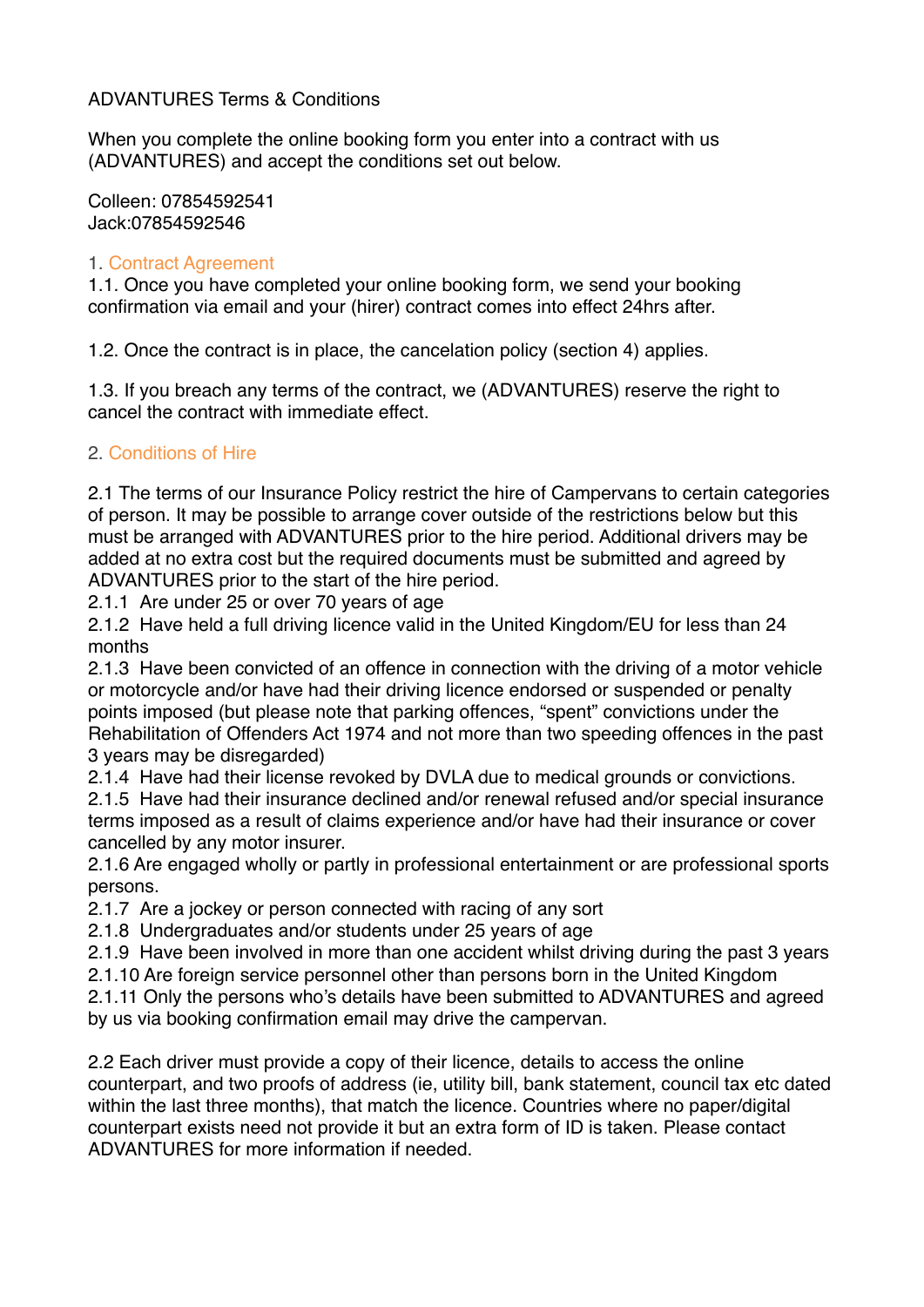# ADVANTURES Terms & Conditions

When you complete the online booking form you enter into a contract with us (ADVANTURES) and accept the conditions set out below.

Colleen: 07854592541 Jack:07854592546

#### 1. Contract Agreement

1.1. Once you have completed your online booking form, we send your booking confirmation via email and your (hirer) contract comes into effect 24hrs after.

1.2. Once the contract is in place, the cancelation policy (section 4) applies.

1.3. If you breach any terms of the contract, we (ADVANTURES) reserve the right to cancel the contract with immediate effect.

# 2. Conditions of Hire

2.1 The terms of our Insurance Policy restrict the hire of Campervans to certain categories of person. It may be possible to arrange cover outside of the restrictions below but this must be arranged with ADVANTURES prior to the hire period. Additional drivers may be added at no extra cost but the required documents must be submitted and agreed by ADVANTURES prior to the start of the hire period.

2.1.1 Are under 25 or over 70 years of age

2.1.2 Have held a full driving licence valid in the United Kingdom/EU for less than 24 months

2.1.3 Have been convicted of an offence in connection with the driving of a motor vehicle or motorcycle and/or have had their driving licence endorsed or suspended or penalty points imposed (but please note that parking offences, "spent" convictions under the Rehabilitation of Offenders Act 1974 and not more than two speeding offences in the past 3 years may be disregarded)

2.1.4 Have had their license revoked by DVLA due to medical grounds or convictions.

2.1.5 Have had their insurance declined and/or renewal refused and/or special insurance terms imposed as a result of claims experience and/or have had their insurance or cover cancelled by any motor insurer.

2.1.6 Are engaged wholly or partly in professional entertainment or are professional sports persons.

2.1.7 Are a jockey or person connected with racing of any sort

2.1.8 Undergraduates and/or students under 25 years of age

2.1.9 Have been involved in more than one accident whilst driving during the past 3 years

2.1.10 Are foreign service personnel other than persons born in the United Kingdom

2.1.11 Only the persons who's details have been submitted to ADVANTURES and agreed by us via booking confirmation email may drive the campervan.

2.2 Each driver must provide a copy of their licence, details to access the online counterpart, and two proofs of address (ie, utility bill, bank statement, council tax etc dated within the last three months), that match the licence. Countries where no paper/digital counterpart exists need not provide it but an extra form of ID is taken. Please contact ADVANTURES for more information if needed.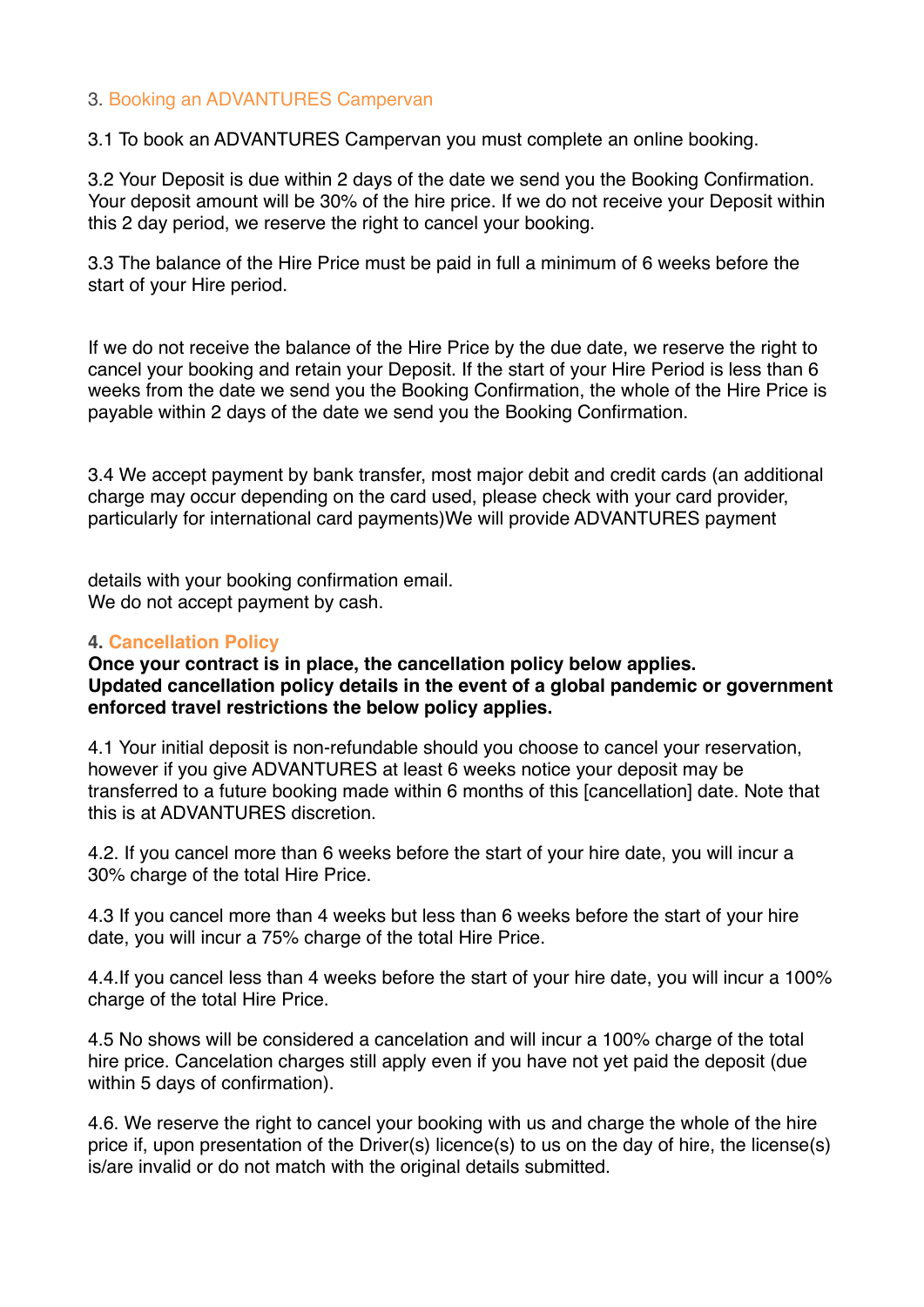#### 3. Booking an ADVANTURES Campervan

3.1 To book an ADVANTURES Campervan you must complete an online booking.

3.2 Your Deposit is due within 2 days of the date we send you the Booking Confirmation. Your deposit amount will be 30% of the hire price. If we do not receive your Deposit within this 2 day period, we reserve the right to cancel your booking.

3.3 The balance of the Hire Price must be paid in full a minimum of 6 weeks before the start of your Hire period.

If we do not receive the balance of the Hire Price by the due date, we reserve the right to cancel your booking and retain your Deposit. If the start of your Hire Period is less than 6 weeks from the date we send you the Booking Confirmation, the whole of the Hire Price is payable within 2 days of the date we send you the Booking Confirmation.

3.4 We accept payment by bank transfer, most major debit and credit cards (an additional charge may occur depending on the card used, please check with your card provider, particularly for international card payments)We will provide ADVANTURES payment

details with your booking confirmation email. We do not accept payment by cash.

#### **4. Cancellation Policy**

#### **Once your contract is in place, the cancellation policy below applies. Updated cancellation policy details in the event of a global pandemic or government enforced travel restrictions the below policy applies.**

4.1 Your initial deposit is non-refundable should you choose to cancel your reservation, however if you give ADVANTURES at least 6 weeks notice your deposit may be transferred to a future booking made within 6 months of this [cancellation] date. Note that this is at ADVANTURES discretion.

4.2. If you cancel more than 6 weeks before the start of your hire date, you will incur a 30% charge of the total Hire Price.

4.3 If you cancel more than 4 weeks but less than 6 weeks before the start of your hire date, you will incur a 75% charge of the total Hire Price.

4.4.If you cancel less than 4 weeks before the start of your hire date, you will incur a 100% charge of the total Hire Price.

4.5 No shows will be considered a cancelation and will incur a 100% charge of the total hire price. Cancelation charges still apply even if you have not yet paid the deposit (due within 5 days of confirmation).

4.6. We reserve the right to cancel your booking with us and charge the whole of the hire price if, upon presentation of the Driver(s) licence(s) to us on the day of hire, the license(s) is/are invalid or do not match with the original details submitted.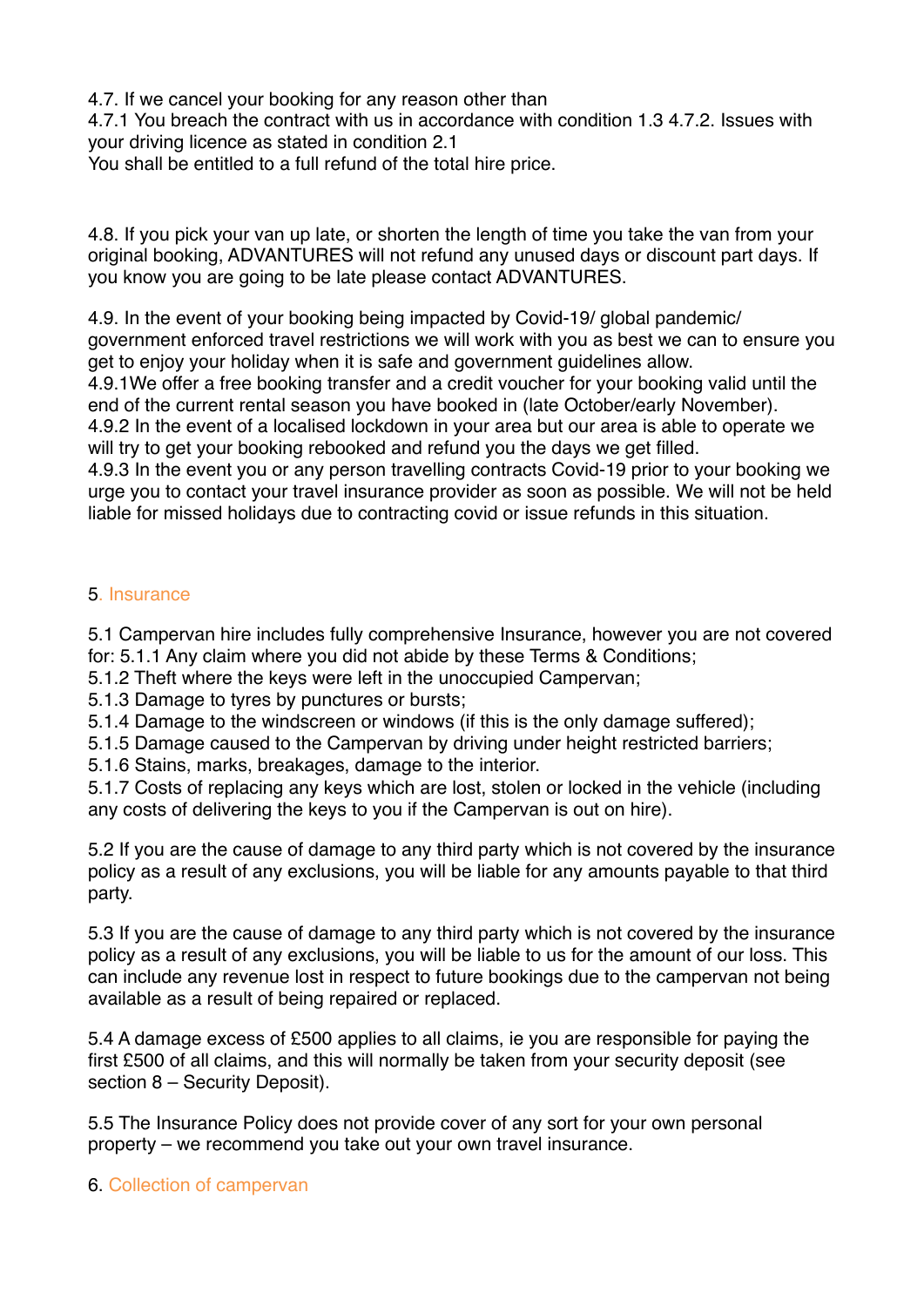4.7. If we cancel your booking for any reason other than 4.7.1 You breach the contract with us in accordance with condition 1.3 4.7.2. Issues with your driving licence as stated in condition 2.1

You shall be entitled to a full refund of the total hire price.

4.8. If you pick your van up late, or shorten the length of time you take the van from your original booking, ADVANTURES will not refund any unused days or discount part days. If you know you are going to be late please contact ADVANTURES.

4.9. In the event of your booking being impacted by Covid-19/ global pandemic/ government enforced travel restrictions we will work with you as best we can to ensure you get to enjoy your holiday when it is safe and government guidelines allow.

4.9.1We offer a free booking transfer and a credit voucher for your booking valid until the end of the current rental season you have booked in (late October/early November). 4.9.2 In the event of a localised lockdown in your area but our area is able to operate we

will try to get your booking rebooked and refund you the days we get filled.

4.9.3 In the event you or any person travelling contracts Covid-19 prior to your booking we urge you to contact your travel insurance provider as soon as possible. We will not be held liable for missed holidays due to contracting covid or issue refunds in this situation.

# 5. Insurance

5.1 Campervan hire includes fully comprehensive Insurance, however you are not covered for: 5.1.1 Any claim where you did not abide by these Terms & Conditions;

5.1.2 Theft where the keys were left in the unoccupied Campervan;

5.1.3 Damage to tyres by punctures or bursts;

5.1.4 Damage to the windscreen or windows (if this is the only damage suffered);

5.1.5 Damage caused to the Campervan by driving under height restricted barriers;

5.1.6 Stains, marks, breakages, damage to the interior.

5.1.7 Costs of replacing any keys which are lost, stolen or locked in the vehicle (including any costs of delivering the keys to you if the Campervan is out on hire).

5.2 If you are the cause of damage to any third party which is not covered by the insurance policy as a result of any exclusions, you will be liable for any amounts payable to that third party.

5.3 If you are the cause of damage to any third party which is not covered by the insurance policy as a result of any exclusions, you will be liable to us for the amount of our loss. This can include any revenue lost in respect to future bookings due to the campervan not being available as a result of being repaired or replaced.

5.4 A damage excess of £500 applies to all claims, ie you are responsible for paying the first £500 of all claims, and this will normally be taken from your security deposit (see section 8 – Security Deposit).

5.5 The Insurance Policy does not provide cover of any sort for your own personal property – we recommend you take out your own travel insurance.

# 6. Collection of campervan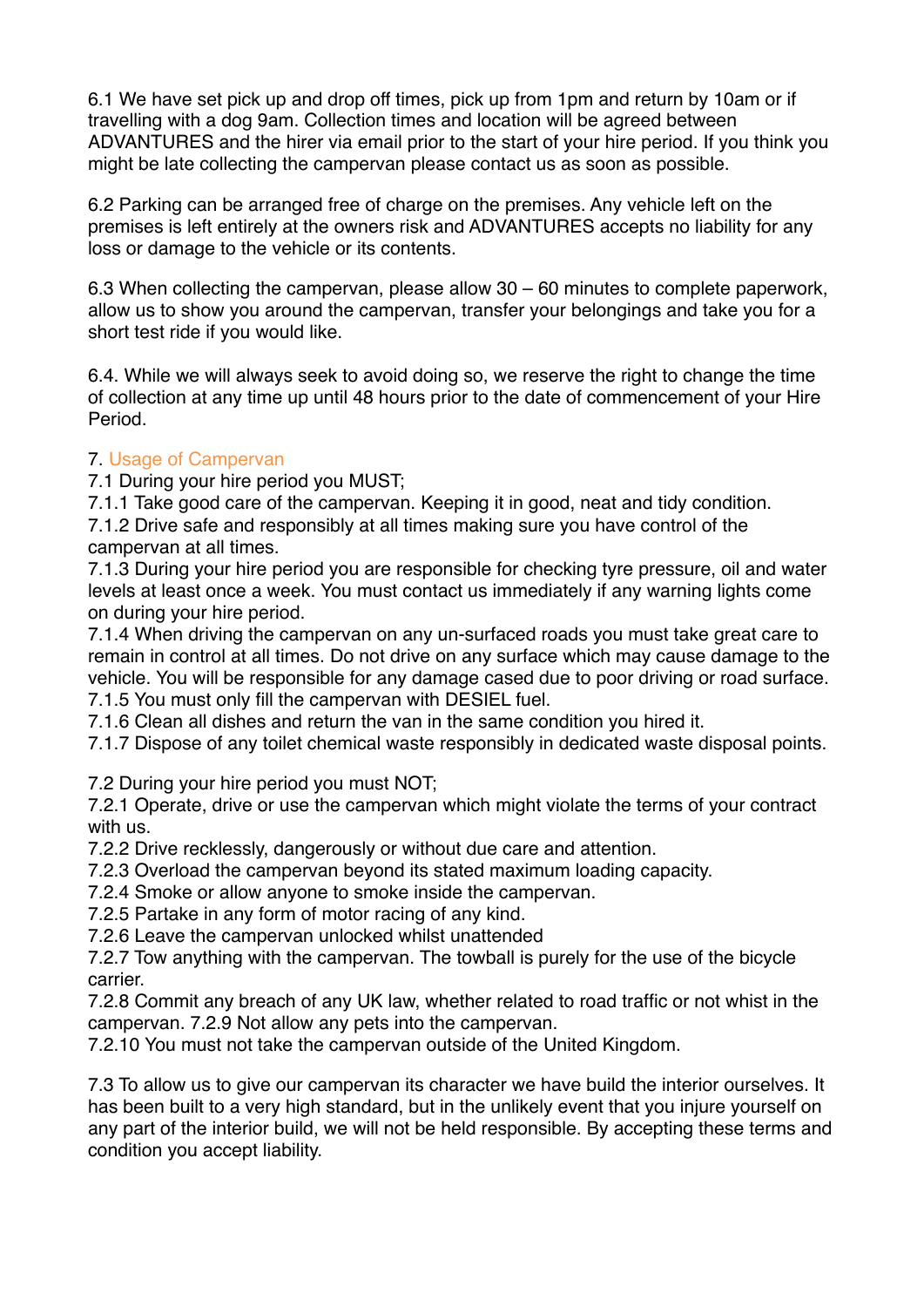6.1 We have set pick up and drop off times, pick up from 1pm and return by 10am or if travelling with a dog 9am. Collection times and location will be agreed between ADVANTURES and the hirer via email prior to the start of your hire period. If you think you might be late collecting the campervan please contact us as soon as possible.

6.2 Parking can be arranged free of charge on the premises. Any vehicle left on the premises is left entirely at the owners risk and ADVANTURES accepts no liability for any loss or damage to the vehicle or its contents.

6.3 When collecting the campervan, please allow 30 – 60 minutes to complete paperwork, allow us to show you around the campervan, transfer your belongings and take you for a short test ride if you would like.

6.4. While we will always seek to avoid doing so, we reserve the right to change the time of collection at any time up until 48 hours prior to the date of commencement of your Hire Period.

# 7. Usage of Campervan

7.1 During your hire period you MUST;

7.1.1 Take good care of the campervan. Keeping it in good, neat and tidy condition. 7.1.2 Drive safe and responsibly at all times making sure you have control of the campervan at all times.

7.1.3 During your hire period you are responsible for checking tyre pressure, oil and water levels at least once a week. You must contact us immediately if any warning lights come on during your hire period.

7.1.4 When driving the campervan on any un-surfaced roads you must take great care to remain in control at all times. Do not drive on any surface which may cause damage to the vehicle. You will be responsible for any damage cased due to poor driving or road surface. 7.1.5 You must only fill the campervan with DESIEL fuel.

7.1.6 Clean all dishes and return the van in the same condition you hired it.

7.1.7 Dispose of any toilet chemical waste responsibly in dedicated waste disposal points.

7.2 During your hire period you must NOT;

7.2.1 Operate, drive or use the campervan which might violate the terms of your contract with us.

7.2.2 Drive recklessly, dangerously or without due care and attention.

7.2.3 Overload the campervan beyond its stated maximum loading capacity.

7.2.4 Smoke or allow anyone to smoke inside the campervan.

7.2.5 Partake in any form of motor racing of any kind.

7.2.6 Leave the campervan unlocked whilst unattended

7.2.7 Tow anything with the campervan. The towball is purely for the use of the bicycle carrier.

7.2.8 Commit any breach of any UK law, whether related to road traffic or not whist in the campervan. 7.2.9 Not allow any pets into the campervan.

7.2.10 You must not take the campervan outside of the United Kingdom.

7.3 To allow us to give our campervan its character we have build the interior ourselves. It has been built to a very high standard, but in the unlikely event that you injure yourself on any part of the interior build, we will not be held responsible. By accepting these terms and condition you accept liability.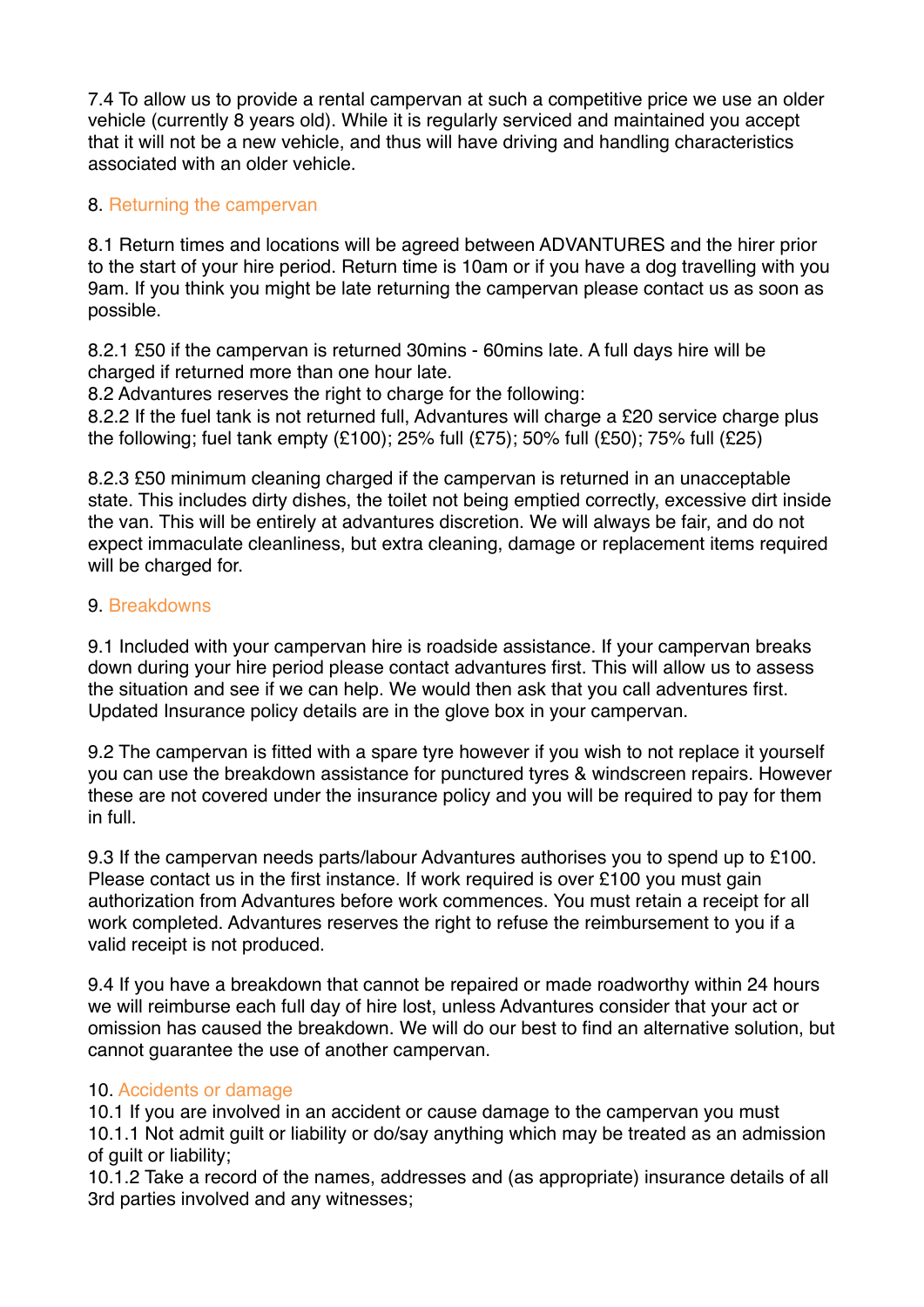7.4 To allow us to provide a rental campervan at such a competitive price we use an older vehicle (currently 8 years old). While it is regularly serviced and maintained you accept that it will not be a new vehicle, and thus will have driving and handling characteristics associated with an older vehicle.

# 8. Returning the campervan

8.1 Return times and locations will be agreed between ADVANTURES and the hirer prior to the start of your hire period. Return time is 10am or if you have a dog travelling with you 9am. If you think you might be late returning the campervan please contact us as soon as possible.

8.2.1 £50 if the campervan is returned 30mins - 60mins late. A full days hire will be charged if returned more than one hour late.

8.2 Advantures reserves the right to charge for the following:

8.2.2 If the fuel tank is not returned full. Advantures will charge a £20 service charge plus the following; fuel tank empty (£100); 25% full (£75); 50% full (£50); 75% full (£25)

8.2.3 £50 minimum cleaning charged if the campervan is returned in an unacceptable state. This includes dirty dishes, the toilet not being emptied correctly, excessive dirt inside the van. This will be entirely at advantures discretion. We will always be fair, and do not expect immaculate cleanliness, but extra cleaning, damage or replacement items required will be charged for.

# 9. Breakdowns

9.1 Included with your campervan hire is roadside assistance. If your campervan breaks down during your hire period please contact advantures first. This will allow us to assess the situation and see if we can help. We would then ask that you call adventures first. Updated Insurance policy details are in the glove box in your campervan.

9.2 The campervan is fitted with a spare tyre however if you wish to not replace it yourself you can use the breakdown assistance for punctured tyres & windscreen repairs. However these are not covered under the insurance policy and you will be required to pay for them in full.

9.3 If the campervan needs parts/labour Advantures authorises you to spend up to £100. Please contact us in the first instance. If work required is over £100 you must gain authorization from Advantures before work commences. You must retain a receipt for all work completed. Advantures reserves the right to refuse the reimbursement to you if a valid receipt is not produced.

9.4 If you have a breakdown that cannot be repaired or made roadworthy within 24 hours we will reimburse each full day of hire lost, unless Advantures consider that your act or omission has caused the breakdown. We will do our best to find an alternative solution, but cannot guarantee the use of another campervan.

# 10. Accidents or damage

10.1 If you are involved in an accident or cause damage to the campervan you must 10.1.1 Not admit guilt or liability or do/say anything which may be treated as an admission of guilt or liability;

10.1.2 Take a record of the names, addresses and (as appropriate) insurance details of all 3rd parties involved and any witnesses;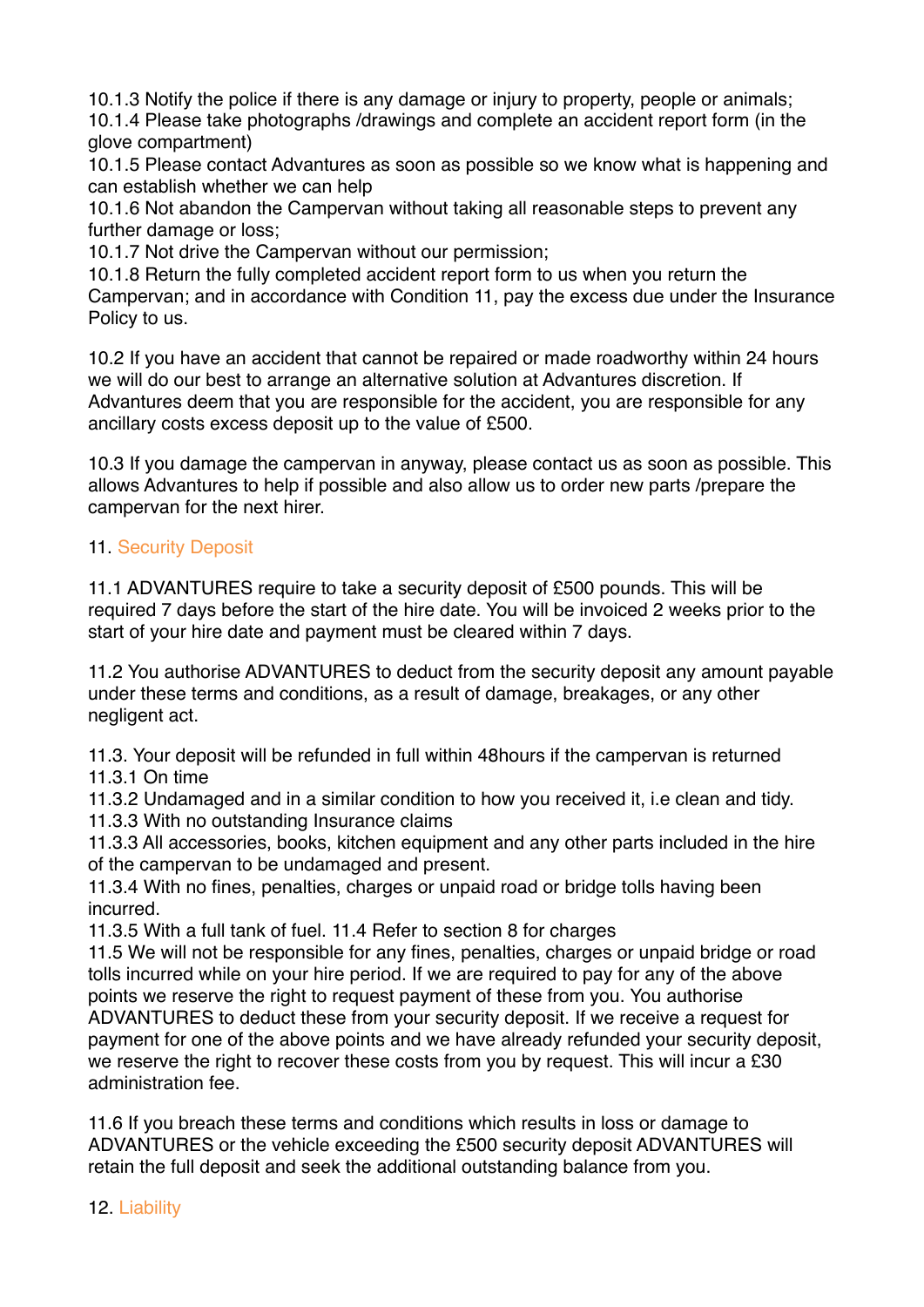10.1.3 Notify the police if there is any damage or injury to property, people or animals;

10.1.4 Please take photographs /drawings and complete an accident report form (in the glove compartment)

10.1.5 Please contact Advantures as soon as possible so we know what is happening and can establish whether we can help

10.1.6 Not abandon the Campervan without taking all reasonable steps to prevent any further damage or loss;

10.1.7 Not drive the Campervan without our permission;

10.1.8 Return the fully completed accident report form to us when you return the Campervan; and in accordance with Condition 11, pay the excess due under the Insurance Policy to us.

10.2 If you have an accident that cannot be repaired or made roadworthy within 24 hours we will do our best to arrange an alternative solution at Advantures discretion. If Advantures deem that you are responsible for the accident, you are responsible for any ancillary costs excess deposit up to the value of £500.

10.3 If you damage the campervan in anyway, please contact us as soon as possible. This allows Advantures to help if possible and also allow us to order new parts /prepare the campervan for the next hirer.

# 11. Security Deposit

11.1 ADVANTURES require to take a security deposit of £500 pounds. This will be required 7 days before the start of the hire date. You will be invoiced 2 weeks prior to the start of your hire date and payment must be cleared within 7 days.

11.2 You authorise ADVANTURES to deduct from the security deposit any amount payable under these terms and conditions, as a result of damage, breakages, or any other negligent act.

11.3. Your deposit will be refunded in full within 48hours if the campervan is returned 11.3.1 On time

11.3.2 Undamaged and in a similar condition to how you received it, i.e clean and tidy. 11.3.3 With no outstanding Insurance claims

11.3.3 All accessories, books, kitchen equipment and any other parts included in the hire of the campervan to be undamaged and present.

11.3.4 With no fines, penalties, charges or unpaid road or bridge tolls having been incurred.

11.3.5 With a full tank of fuel. 11.4 Refer to section 8 for charges

11.5 We will not be responsible for any fines, penalties, charges or unpaid bridge or road tolls incurred while on your hire period. If we are required to pay for any of the above points we reserve the right to request payment of these from you. You authorise ADVANTURES to deduct these from your security deposit. If we receive a request for payment for one of the above points and we have already refunded your security deposit, we reserve the right to recover these costs from you by request. This will incur a £30 administration fee.

11.6 If you breach these terms and conditions which results in loss or damage to ADVANTURES or the vehicle exceeding the £500 security deposit ADVANTURES will retain the full deposit and seek the additional outstanding balance from you.

12. Liability